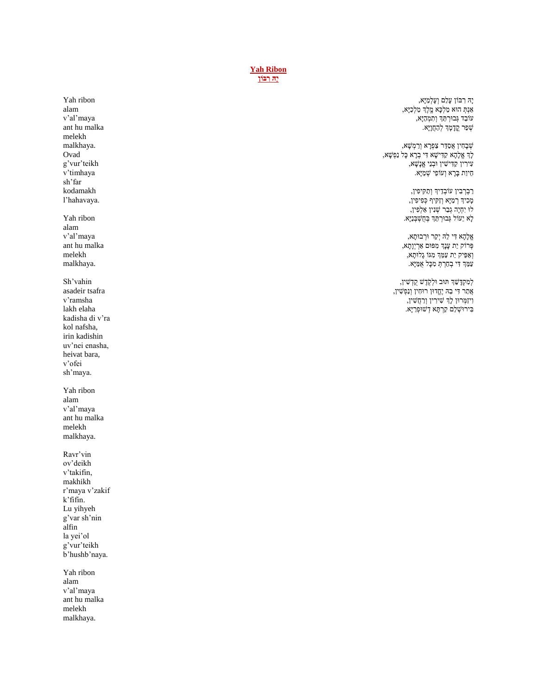**[Yah Ribon](https://soundcloud.com/user-114005263/ya-ribon-olam) [יָּה רִ ּבֹון](https://soundcloud.com/user-114005263/ya-ribon-olam)**

> יָּה רִ ּבֹון עָלַם וְ עָלְמַ יָא,  $\kappa$ מֶלֶךְ מַלְכָא $\kappa$ הוּא מַלְכָּא עֹובַד גְ בּורְ תֵּ ְך וְ תִ מְ הַיָא, שְׁפַר קֵדָמָהּ לְהַחֲוָיָא.

שְ בָחִ ין אֲסַ דֵּ ר צַפְ רָ א וְ רַ מְ שָ א, לְָך אֱלָהָא קַדִ ישָ א דִ י בְ רָ א כָל נַפְ שָ א, עִירִין קַדִּישִׁין וּבְנֵי אֱנָשָׁא, חֵיוַת בָּרָא וְעֹוֹפֵי שְׁמַיְא.

> רַבְרְבִין עוֹבְדֵיךְ וְתַקִּיכִין, מְכִיךְ רְמַיָּא וְזַקִיף כְּפִיפִין, לוּ יִחְיֶה גְבַר שְׁנִין אַלְפִין, לָא יֵּעֹול גְ בּורְ תֵּ ְך ּבְ חֻשְ ּבְ נַיָא.

אֱלָהָא דִ י לֵּּה יְקַר ּורְ בּותָ א, פְ רֹוק יַת עָנְָך מִ פּום אַ רְ יְוָתָ א, וְ אַ פֵּיק יַת עַמֵּ ְך מִ גֹו גָלּותָ א, עַמֵּ ְך דִ י בְ חַרְ תְ מִ כָל אֻמַ יָא.

לְמִ קְ דָ שֵּ ְך תּוב ּולְ ק ֶֽ דֶ ש קֻ דְ שִ ין, אֲתַ ר דִ י בֵּּה יֶחֱדּון רּוחִ ין וְ נַפְ שִ ין, וִ יזַמְ רּון לְָך שִ ירִ ין וְ רַ חֲשִ ין, ּבִ ירּושְ לֵּם קַרְ תָ א דְ שּופְ רַ יָא.

Yah ribon alam v'al'maya ant hu malka melekh malkhaya. Ovad g'vur'teikh v'timhaya sh'far kodamakh l'hahavaya. Yah ribon alam v'al'maya ant hu malka melekh

Sh'vahin asadeir tsafra v'ramsha lakh elaha kadisha di v'ra kol nafsha, irin kadishin uv'nei enasha, heivat bara, v'ofei sh'maya.

malkhaya.

Yah ribon alam v'al'maya ant hu malka melekh malkhaya.

Ravr'vin ov'deikh v'takifin, makhikh r'maya v'zakif k'fifin. Lu yihyeh g'var sh'nin alfin la yei'ol g'vur'teikh b'hushb'naya.

Yah ribon alam v'al'maya ant hu malka melekh malkhaya.